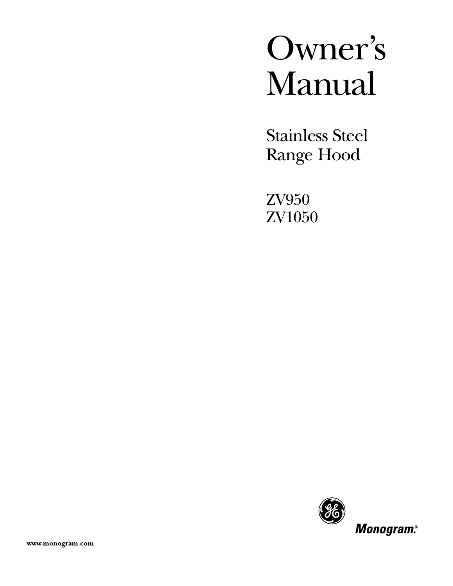# Owner's Manual

Stainless Steel Range Hood

ZV950 ZV1050

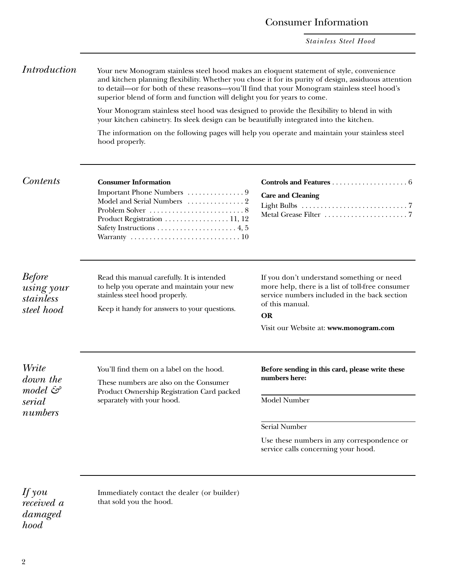*Stainless Steel Hood*

*Introduction* Your new Monogram stainless steel hood makes an eloquent statement of style, convenience and kitchen planning flexibility. Whether you chose it for its purity of design, assiduous attention to detail—or for both of these reasons—you'll find that your Monogram stainless steel hood's superior blend of form and function will delight you for years to come.

> Your Monogram stainless steel hood was designed to provide the flexibility to blend in with your kitchen cabinetry. Its sleek design can be beautifully integrated into the kitchen.

The information on the following pages will help you operate and maintain your stainless steel hood properly.

#### *Contents* **Consumer Information**

| Product Registration 11, 12                                                  |
|------------------------------------------------------------------------------|
|                                                                              |
| Warranty $\ldots \ldots \ldots \ldots \ldots \ldots \ldots \ldots \ldots 10$ |
|                                                                              |

| <b>Care and Cleaning</b> |  |
|--------------------------|--|
|                          |  |
|                          |  |

#### *Before using your stainless steel hood*

Read this manual carefully. It is intended to help you operate and maintain your new stainless steel hood properly.

Keep it handy for answers to your questions.

If you don't understand something or need more help, there is a list of toll-free consumer service numbers included in the back section of this manual.

#### **OR**

Visit our Website at: **www.monogram.com**

*Write down the model & serial numbers*

You'll find them on a label on the hood.

These numbers are also on the Consumer Product Ownership Registration Card packed separately with your hood.

**Before sending in this card, please write these numbers here:**

Model Number

#### Serial Number

Use these numbers in any correspondence or service calls concerning your hood.

*If you received a damaged hood*

Immediately contact the dealer (or builder) that sold you the hood.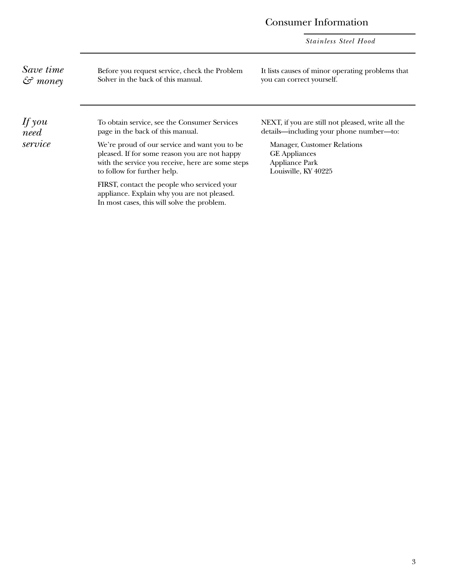#### Consumer Information

*Stainless Steel Hood*

*Save time & money*

Before you request service, check the Problem Solver in the back of this manual.

It lists causes of minor operating problems that you can correct yourself.

*If you need service* To obtain service, see the Consumer Services page in the back of this manual. We're proud of our service and want you to be pleased. If for some reason you are not happy with the service you receive, here are some steps to follow for further help. FIRST, contact the people who serviced your appliance. Explain why you are not pleased. In most cases, this will solve the problem. NEXT, if you are still not pleased, write all the details—including your phone number—to: Manager, Customer Relations GE Appliances Appliance Park Louisville, KY 40225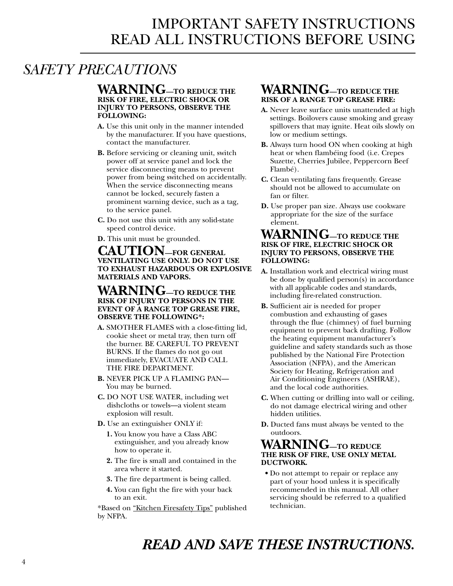### IMPORTANT SAFETY INSTRUCTIONS READ ALL INSTRUCTIONS BEFORE USING

### <span id="page-3-0"></span>*SAFETY PRECAUTIONS*

#### **WARNING—TO REDUCE THE RISK OF FIRE, ELECTRIC SHOCK OR INJURY TO PERSONS, OBSERVE THE FOLLOWING:**

- **A.** Use this unit only in the manner intended by the manufacturer. If you have questions, contact the manufacturer.
- **B.** Before servicing or cleaning unit, switch power off at service panel and lock the service disconnecting means to prevent power from being switched on accidentally. When the service disconnecting means cannot be locked, securely fasten a prominent warning device, such as a tag, to the service panel.
- **C.** Do not use this unit with any solid-state speed control device.
- **D.** This unit must be grounded.

#### **CAUTION—FOR GENERAL VENTILATING USE ONLY. DO NOT USE TO EXHAUST HAZARDOUS OR EXPLOSIVE MATERIALS AND VAPORS.**

#### **WARNING—TO REDUCE THE RISK OF INJURY TO PERSONS IN THE EVENT OF A RANGE TOP GREASE FIRE, OBSERVE THE FOLLOWING\*:**

- **A.** SMOTHER FLAMES with a close-fitting lid, cookie sheet or metal tray, then turn off the burner. BE CAREFUL TO PREVENT BURNS. If the flames do not go out immediately, EVACUATE AND CALL THE FIRE DEPARTMENT.
- **B.** NEVER PICK UP A FLAMING PAN— You may be burned.
- **C.** DO NOT USE WATER, including wet dishcloths or towels—a violent steam explosion will result.
- **D.** Use an extinguisher ONLY if:
	- **1.** You know you have a Class ABC extinguisher, and you already know how to operate it.
	- **2.** The fire is small and contained in the area where it started.
	- **3.** The fire department is being called.
	- **4.** You can fight the fire with your back to an exit.

\*Based on "Kitchen Firesafety Tips" published by NFPA.

#### **WARNING—TO REDUCE THE RISK OF A RANGE TOP GREASE FIRE:**

- **A.** Never leave surface units unattended at high settings. Boilovers cause smoking and greasy spillovers that may ignite. Heat oils slowly on low or medium settings.
- **B.** Always turn hood ON when cooking at high heat or when flambéing food (i.e. Crepes Suzette, Cherries Jubilee, Peppercorn Beef Flambé).
- **C.** Clean ventilating fans frequently. Grease should not be allowed to accumulate on fan or filter.
- **D.** Use proper pan size. Always use cookware appropriate for the size of the surface element.

#### **WARNING—TO REDUCE THE RISK OF FIRE, ELECTRIC SHOCK OR INJURY TO PERSONS, OBSERVE THE FOLLOWING:**

- **A.** Installation work and electrical wiring must be done by qualified person(s) in accordance with all applicable codes and standards, including fire-related construction.
- **B.** Sufficient air is needed for proper combustion and exhausting of gases through the flue (chimney) of fuel burning equipment to prevent back drafting. Follow the heating equipment manufacturer's guideline and safety standards such as those published by the National Fire Protection Association (NFPA), and the American Society for Heating, Refrigeration and Air Conditioning Engineers (ASHRAE), and the local code authorities.
- **C.** When cutting or drilling into wall or ceiling, do not damage electrical wiring and other hidden utilities.
- **D.** Ducted fans must always be vented to the outdoors.

#### **WARNING—TO REDUCE THE RISK OF FIRE, USE ONLY METAL DUCTWORK.**

**•** Do not attempt to repair or replace any part of your hood unless it is specifically recommended in this manual. All other servicing should be referred to a qualified technician.

### *READ AND SAVE THESE INSTRUCTIONS.*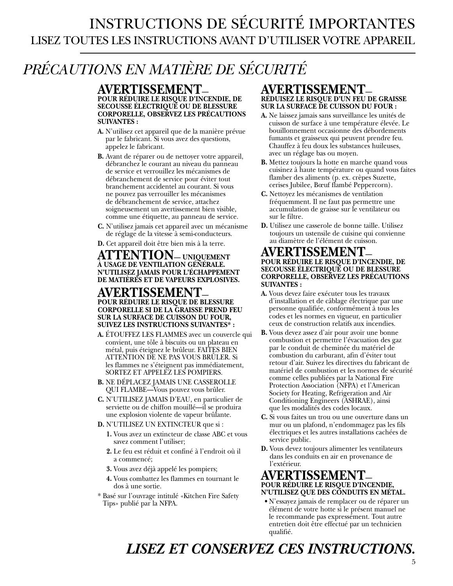### INSTRUCTIONS DE SÉCURITÉ IMPORTANTES LISEZ TOUTES LES INSTRUCTIONS AVANT D'UTILISER VOTRE APPAREIL

## *PRÉCAUTIONS EN MATIÈRE DE SÉCURITÉ*

#### **AVERTISSEMENT— POUR RÉDUIRE LE RISQUE D'INCENDIE, DE SECOUSSE ÉLECTRIQUE OU DE BLESSURE CORPORELLE, OBSERVEZ LES PRÉCAUTIONS SUIVANTES :**

- **A.** N'utilisez cet appareil que de la manière prévue par le fabricant. Si vous avez des questions, appelez le fabricant.
- **B.** Avant de réparer ou de nettoyer votre appareil, débranchez le courant au niveau du panneau de service et verrouillez les mécanismes de débranchement de service pour éviter tout branchement accidentel au courant. Si vous ne pouvez pas verrouiller les mécanismes de débranchement de service, attachez soigneusement un avertissement bien visible, comme une étiquette, au panneau de service.
- **C.** N'utilisez jamais cet appareil avec un mécanisme de réglage de la vitesse à semi-conducteurs.
- **D.** Cet appareil doit être bien mis à la terre.

#### **ATTENTION— UNIQUEMENT À USAGE DE VENTILATION GÉNÉRALE. N'UTILISEZ JAMAIS POUR L'ÉCHAPPEMENT DE MATIÈRES ET DE VAPEURS EXPLOSIVES.**

#### **AVERTISSEMENT— POUR RÉDUIRE LE RISQUE DE BLESSURE CORPORELLE SI DE LA GRAISSE PREND FEU SUR LA SURFACE DE CUISSON DU FOUR, SUIVEZ LES INSTRUCTIONS SUIVANTES\* :**

- **A.** ÉTOUFFEZ LES FLAMMES avec un couvercle qui convient, une tôle à biscuits ou un plateau en métal, puis éteignez le brûleur. FAITES BIEN ATTENTION DE NE PAS VOUS BRÛLER. Si les flammes ne s'éteignent pas immédiatement, SORTEZ ET APPELEZ LES POMPIERS.
- **B.** NE DÉPLACEZ JAMAIS UNE CASSEROLLE QUI FLAMBE—Vous pouvez vous brûler.
- **C.** N'UTILISEZ JAMAIS D'EAU, en particulier de serviette ou de chiffon mouillé—il se produira une explosion violente de vapeur brûlante.
- **D.** N'UTILISEZ UN EXTINCTEUR que si :
	- **1.** Vous avez un extincteur de classe ABC et vous savez comment l'utiliser;
	- **2.** Le feu est réduit et confiné à l'endroit où il a commencé;
	- **3.** Vous avez déjà appelé les pompiers;
	- **4.** Vous combattez les flammes en tournant le dos à une sortie.
- \* Basé sur l'ouvrage intitulé «Kitchen Fire Safety Tips» publié par la NFPA.

#### **AVERTISSEMENT— RÉDUISEZ LE RISQUE D'UN FEU DE GRAISSE SUR LA SURFACE DE CUISSON DU FOUR :**

- **A.** Ne laissez jamais sans surveillance les unités de cuisson de surface à une température élevée. Le bouillonnement occasionne des débordements fumants et graisseux qui peuvent prendre feu. Chauffez à feu doux les substances huileuses, avec un réglage bas ou moyen.
- **B.** Mettez toujours la hotte en marche quand vous cuisinez à haute température ou quand vous faites flamber des aliments (p. ex. crèpes Suzette, cerises Jubilee, Bœuf flambé Peppercorn).
- **C.** Nettoyez les mécanismes de ventilation fréquemment. Il ne faut pas permettre une accumulation de graisse sur le ventilateur ou sur le filtre.
- **D.** Utilisez une casserole de bonne taille. Utilisez toujours un ustensile de cuisine qui convienne au diamètre de l'élément de cuisson.

#### **AVERTISSEMENT— POUR RÉDUIRE LE RISQUE D'INCENDIE, DE SECOUSSE ÉLECTRIQUE OU DE BLESSURE CORPORELLE, OBSERVEZ LES PRÉCAUTIONS SUIVANTES :**

- **A.** Vous devez faire exécuter tous les travaux d'installation et de câblage électrique par une personne qualifiée, conformément à tous les codes et les normes en vigueur, en particulier ceux de construction relatifs aux incendies.
- **B.** Vous devez assez d'air pour avoir une bonne combustion et permettre l'évacuation des gaz par le conduit de cheminée du matériel de combustion du carburant, afin d'éviter tout retour d'air. Suivez les directives du fabricant de matériel de combustion et les normes de sécurité comme celles publiées par la National Fire Protection Association (NFPA) et l'American Society for Heating, Refrigeration and Air Conditioning Engineers (ASHRAE), ainsi que les modalités des codes locaux.
- **C.** Si vous faites un trou ou une ouverture dans un mur ou un plafond, n'endommagez pas les fils électriques et les autres installations cachées de service public.
- **D.** Vous devez toujours alimenter les ventilateurs dans les conduits en air en provenance de l'extérieur.

#### **AVERTISSEMENT— POUR RÉDUIRE LE RISQUE D'INCENDIE, N'UTILISEZ QUE DES CONDUITS EN MÉTAL.**

**•** N'essayez jamais de remplacer ou de réparer un élément de votre hotte si le présent manuel ne le recommande pas expressément. Tout autre entretien doit être effectué par un technicien qualifié.

### *LISEZ ET CONSERVEZ CES INSTRUCTIONS.*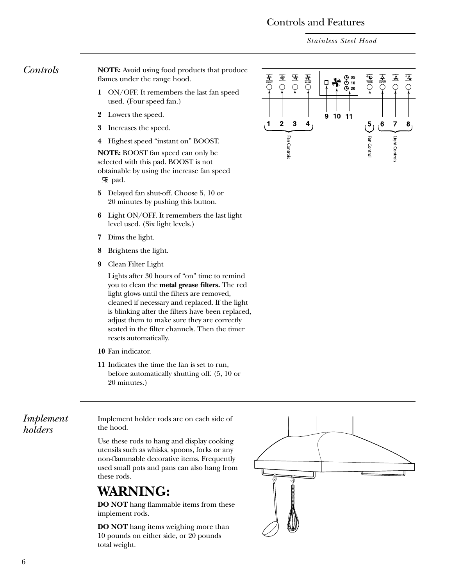#### Controls and Features

*Stainless Steel Hood*

<span id="page-5-0"></span>*Controls* **NOTE:** Avoid using food products that produce flames under the range hood.

- **1** ON/OFF. It remembers the last fan speed used. (Four speed fan.)
- **2** Lowers the speed.
- **3** Increases the speed.
- **4** Highest speed "instant on" BOOST.

**NOTE:** BOOST fan speed can only be selected with this pad. BOOST is not obtainable by using the increase fan speed [here pad.]

- **5** Delayed fan shut-off. Choose 5, 10 or 20 minutes by pushing this button.
- **6** Light ON/OFF. It remembers the last light level used. (Six light levels.)
- **7** Dims the light.
- **8** Brightens the light.
- **9** Clean Filter Light

Lights after 30 hours of "on" time to remind you to clean the **metal grease filters.** The red light glows until the filters are removed, cleaned if necessary and replaced. If the light is blinking after the filters have been replaced, adjust them to make sure they are correctly seated in the filter channels. Then the timer resets automatically.

- **10** Fan indicator.
- **11** Indicates the time the fan is set to run, before automatically shutting off. (5, 10 or 20 minutes.)

*Implement holders*

Implement holder rods are on each side of the hood.

Use these rods to hang and display cooking utensils such as whisks, spoons, forks or any non-flammable decorative items. Frequently used small pots and pans can also hang from these rods.

### **WARNING:**

**DO NOT** hang flammable items from these implement rods.

**DO NOT** hang items weighing more than 10 pounds on either side, or 20 pounds total weight.



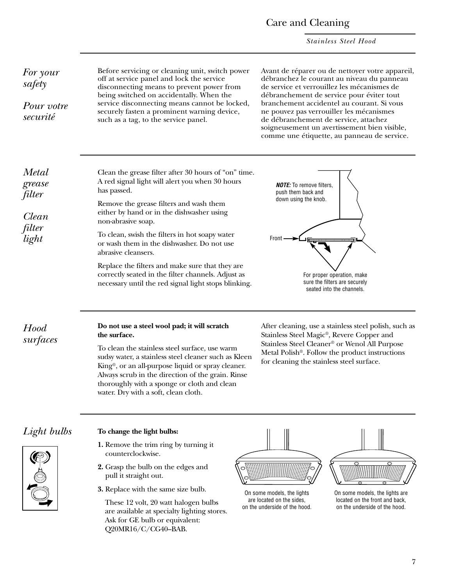#### Care and Cleaning

*Stainless Steel Hood*

<span id="page-6-0"></span>*For your safety*

*Pour votre securité*

Before servicing or cleaning unit, switch power off at service panel and lock the service disconnecting means to prevent power from being switched on accidentally. When the service disconnecting means cannot be locked, securely fasten a prominent warning device, such as a tag, to the service panel.

Avant de réparer ou de nettoyer votre appareil, débranchez le courant au niveau du panneau de service et verrouillez les mécanismes de débranchement de service pour éviter tout branchement accidentel au courant. Si vous ne pouvez pas verrouiller les mécanismes de débranchement de service, attachez soigneusement un avertissement bien visible, comme une étiquette, au panneau de service.

*Metal grease filter*

*Clean filter light*

Clean the grease filter after 30 hours of "on" time. A red signal light will alert you when 30 hours has passed.

Remove the grease filters and wash them either by hand or in the dishwasher using non-abrasive soap.

To clean, swish the filters in hot soapy water or wash them in the dishwasher. Do not use abrasive cleansers.

Replace the filters and make sure that they are correctly seated in the filter channels. Adjust as necessary until the red signal light stops blinking.



*Hood surfaces*

#### **Do not use a steel wool pad; it will scratch the surface.**

To clean the stainless steel surface, use warm sudsy water, a stainless steel cleaner such as Kleen King®, or an all-purpose liquid or spray cleaner. Always scrub in the direction of the grain. Rinse thoroughly with a sponge or cloth and clean water. Dry with a soft, clean cloth.

After cleaning, use a stainless steel polish, such as Stainless Steel Magic®, Revere Copper and Stainless Steel Cleaner® or Wenol All Purpose Metal Polish®. Follow the product instructions for cleaning the stainless steel surface.



#### *Light bulbs* **To change the light bulbs:**

- **1.** Remove the trim ring by turning it counterclockwise.
- **2.** Grasp the bulb on the edges and pull it straight out.
- **3.** Replace with the same size bulb.

These 12 volt, 20 watt halogen bulbs are available at specialty lighting stores. Ask for GE bulb or equivalent: Q20MR16/C/CG40–BAB.



On some models, the lights are located on the sides, on the underside of the hood.

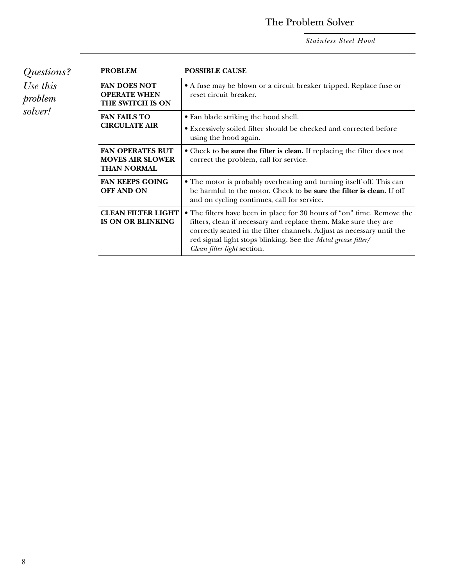### The Problem Solver

*Stainless Steel Hood*

<span id="page-7-0"></span>

| Questions?                     | <b>PROBLEM</b>                                                           | <b>POSSIBLE CAUSE</b>                                                                                                                                                                                                                                                                                                |  |  |  |  |  |  |  |  |  |
|--------------------------------|--------------------------------------------------------------------------|----------------------------------------------------------------------------------------------------------------------------------------------------------------------------------------------------------------------------------------------------------------------------------------------------------------------|--|--|--|--|--|--|--|--|--|
| Use this<br>problem<br>solver! | <b>FAN DOES NOT</b><br><b>OPERATE WHEN</b><br>THE SWITCH IS ON           | • A fuse may be blown or a circuit breaker tripped. Replace fuse or<br>reset circuit breaker.                                                                                                                                                                                                                        |  |  |  |  |  |  |  |  |  |
|                                | <b>FAN FAILS TO</b><br><b>CIRCULATE AIR</b>                              | • Fan blade striking the hood shell.<br>• Excessively soiled filter should be checked and corrected before<br>using the hood again.                                                                                                                                                                                  |  |  |  |  |  |  |  |  |  |
|                                | <b>FAN OPERATES BUT</b><br><b>MOVES AIR SLOWER</b><br><b>THAN NORMAL</b> | • Check to be sure the filter is clean. If replacing the filter does not<br>correct the problem, call for service.                                                                                                                                                                                                   |  |  |  |  |  |  |  |  |  |
|                                | <b>FAN KEEPS GOING</b><br><b>OFF AND ON</b>                              | • The motor is probably overheating and turning itself off. This can<br>be harmful to the motor. Check to be sure the filter is clean. If off<br>and on cycling continues, call for service.                                                                                                                         |  |  |  |  |  |  |  |  |  |
|                                | <b>CLEAN FILTER LIGHT</b><br><b>IS ON OR BLINKING</b>                    | • The filters have been in place for 30 hours of "on" time. Remove the<br>filters, clean if necessary and replace them. Make sure they are<br>correctly seated in the filter channels. Adjust as necessary until the<br>red signal light stops blinking. See the Metal grease filter/<br>Clean filter light section. |  |  |  |  |  |  |  |  |  |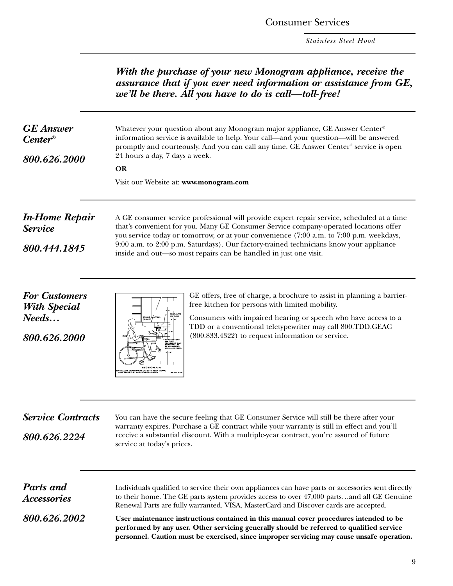Consumer Services

*Stainless Steel Hood*

<span id="page-8-0"></span>

|                                                                      | With the purchase of your new Monogram appliance, receive the<br>assurance that if you ever need information or assistance from GE,<br>we'll be there. All you have to do is call-toll-free!<br>Whatever your question about any Monogram major appliance, GE Answer Center®<br>information service is available to help. Your call—and your question—will be answered<br>promptly and courteously. And you can call any time. GE Answer Center® service is open<br>24 hours a day, 7 days a week.<br><b>OR</b><br>Visit our Website at: www.monogram.com                  |  |  |  |  |  |  |  |  |  |  |  |
|----------------------------------------------------------------------|----------------------------------------------------------------------------------------------------------------------------------------------------------------------------------------------------------------------------------------------------------------------------------------------------------------------------------------------------------------------------------------------------------------------------------------------------------------------------------------------------------------------------------------------------------------------------|--|--|--|--|--|--|--|--|--|--|--|
| <b>GE</b> Answer<br>$Center^{\circ}$<br>800.626.2000                 |                                                                                                                                                                                                                                                                                                                                                                                                                                                                                                                                                                            |  |  |  |  |  |  |  |  |  |  |  |
| <b>In-Home Repair</b><br><b>Service</b><br>800.444.1845              | A GE consumer service professional will provide expert repair service, scheduled at a time<br>that's convenient for you. Many GE Consumer Service company-operated locations offer<br>you service today or tomorrow, or at your convenience (7:00 a.m. to 7:00 p.m. weekdays,<br>9:00 a.m. to 2:00 p.m. Saturdays). Our factory-trained technicians know your appliance<br>inside and out-so most repairs can be handled in just one visit.                                                                                                                                |  |  |  |  |  |  |  |  |  |  |  |
| <b>For Customers</b><br><b>With Special</b><br>Needs<br>800.626.2000 | GE offers, free of charge, a brochure to assist in planning a barrier-<br>free kitchen for persons with limited mobility.<br>Consumers with impaired hearing or speech who have access to a<br>TDD or a conventional teletypewriter may call 800.TDD.GEAC<br>(800.833.4322) to request information or service.<br><b>SECTION A A</b><br>LLOW DEPTH SINKS (6') WITH REAR DRAIN                                                                                                                                                                                              |  |  |  |  |  |  |  |  |  |  |  |
| <b>Service Contracts</b><br>800.626.2224                             | You can have the secure feeling that GE Consumer Service will still be there after your<br>warranty expires. Purchase a GE contract while your warranty is still in effect and you'll<br>receive a substantial discount. With a multiple-year contract, you're assured of future<br>service at today's prices.                                                                                                                                                                                                                                                             |  |  |  |  |  |  |  |  |  |  |  |
| <b>Parts</b> and<br><b>Accessories</b><br>800.626.2002               | Individuals qualified to service their own appliances can have parts or accessories sent directly<br>to their home. The GE parts system provides access to over 47,000 partsand all GE Genuine<br>Renewal Parts are fully warranted. VISA, MasterCard and Discover cards are accepted.<br>User maintenance instructions contained in this manual cover procedures intended to be<br>performed by any user. Other servicing generally should be referred to qualified service<br>personnel. Caution must be exercised, since improper servicing may cause unsafe operation. |  |  |  |  |  |  |  |  |  |  |  |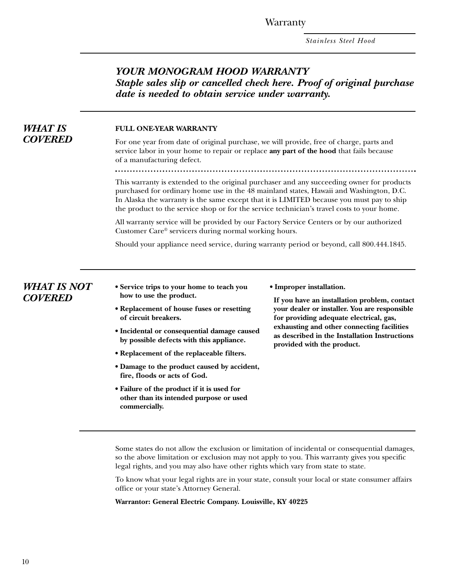**Warranty** 

*Stainless Steel Hood*

#### *YOUR MONOGRAM HOOD WARRANTY Staple sales slip or cancelled check here. Proof of original purchase date is needed to obtain service under warranty.*

<span id="page-9-0"></span>

| <b>WHAT IS</b>                       | <b>FULL ONE-YEAR WARRANTY</b>                                                                                                             |                                                                                                                                                                                                                                                                                                                                                                                |  |  |  |  |  |  |  |  |  |  |  |  |
|--------------------------------------|-------------------------------------------------------------------------------------------------------------------------------------------|--------------------------------------------------------------------------------------------------------------------------------------------------------------------------------------------------------------------------------------------------------------------------------------------------------------------------------------------------------------------------------|--|--|--|--|--|--|--|--|--|--|--|--|
| <b>COVERED</b>                       | of a manufacturing defect.                                                                                                                | For one year from date of original purchase, we will provide, free of charge, parts and<br>service labor in your home to repair or replace any part of the hood that fails because                                                                                                                                                                                             |  |  |  |  |  |  |  |  |  |  |  |  |
|                                      |                                                                                                                                           | This warranty is extended to the original purchaser and any succeeding owner for products<br>purchased for ordinary home use in the 48 mainland states, Hawaii and Washington, D.C.<br>In Alaska the warranty is the same except that it is LIMITED because you must pay to ship<br>the product to the service shop or for the service technician's travel costs to your home. |  |  |  |  |  |  |  |  |  |  |  |  |
|                                      |                                                                                                                                           | All warranty service will be provided by our Factory Service Centers or by our authorized<br>Customer Care® servicers during normal working hours.                                                                                                                                                                                                                             |  |  |  |  |  |  |  |  |  |  |  |  |
|                                      |                                                                                                                                           | Should your appliance need service, during warranty period or beyond, call 800.444.1845.                                                                                                                                                                                                                                                                                       |  |  |  |  |  |  |  |  |  |  |  |  |
| <b>WHAT IS NOT</b><br><b>COVERED</b> | • Service trips to your home to teach you<br>how to use the product.<br>• Replacement of house fuses or resetting<br>of circuit breakers. | • Improper installation.<br>If you have an installation problem, contact<br>your dealer or installer. You are responsible<br>for providing adequate electrical, gas,                                                                                                                                                                                                           |  |  |  |  |  |  |  |  |  |  |  |  |
|                                      | · Incidental or consequential damage caused<br>by possible defects with this appliance.                                                   | exhausting and other connecting facilities<br>as described in the Installation Instructions<br>provided with the product.                                                                                                                                                                                                                                                      |  |  |  |  |  |  |  |  |  |  |  |  |
|                                      | • Replacement of the replaceable filters.                                                                                                 |                                                                                                                                                                                                                                                                                                                                                                                |  |  |  |  |  |  |  |  |  |  |  |  |
|                                      | · Damage to the product caused by accident,<br>fire, floods or acts of God.                                                               |                                                                                                                                                                                                                                                                                                                                                                                |  |  |  |  |  |  |  |  |  |  |  |  |
|                                      | • Failure of the product if it is used for<br>other than its intended purpose or used<br>commercially.                                    |                                                                                                                                                                                                                                                                                                                                                                                |  |  |  |  |  |  |  |  |  |  |  |  |

Some states do not allow the exclusion or limitation of incidental or consequential damages, so the above limitation or exclusion may not apply to you. This warranty gives you specific legal rights, and you may also have other rights which vary from state to state.

To know what your legal rights are in your state, consult your local or state consumer affairs office or your state's Attorney General.

#### **Warrantor: General Electric Company. Louisville, KY 40225**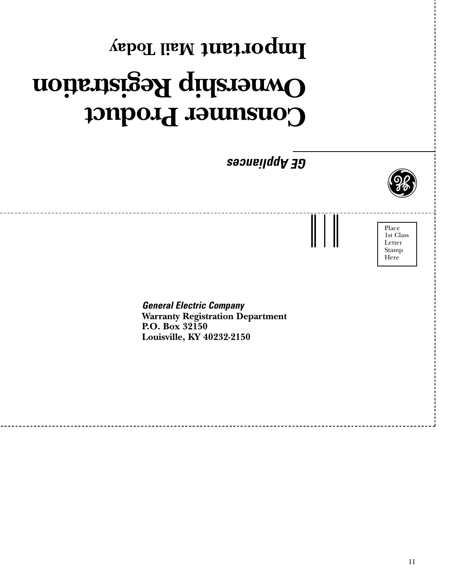# **Consumer Product Ownership Registration Mail Today Important**